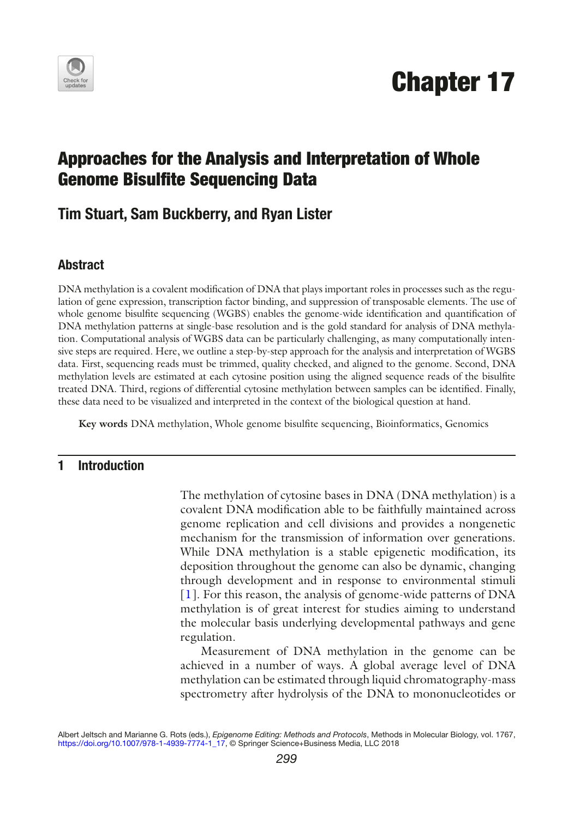

# Chapter 17

# Approaches for the Analysis and Interpretation of Whole Genome Bisulfite Sequencing Data

## **Tim Stuart, Sam Buckberry, and Ryan Lister**

#### **Abstract**

DNA methylation is a covalent modification of DNA that plays important roles in processes such as the regulation of gene expression, transcription factor binding, and suppression of transposable elements. The use of whole genome bisulfite sequencing (WGBS) enables the genome-wide identification and quantification of DNA methylation patterns at single-base resolution and is the gold standard for analysis of DNA methylation. Computational analysis of WGBS data can be particularly challenging, as many computationally intensive steps are required. Here, we outline a step-by-step approach for the analysis and interpretation of WGBS data. First, sequencing reads must be trimmed, quality checked, and aligned to the genome. Second, DNA methylation levels are estimated at each cytosine position using the aligned sequence reads of the bisulfite treated DNA. Third, regions of differential cytosine methylation between samples can be identified. Finally, these data need to be visualized and interpreted in the context of the biological question at hand.

**Key words** DNA methylation, Whole genome bisulfite sequencing, Bioinformatics, Genomics

#### **1 Introduction**

The methylation of cytosine bases in DNA (DNA methylation) is a covalent DNA modification able to be faithfully maintained across genome replication and cell divisions and provides a nongenetic mechanism for the transmission of information over generations. While DNA methylation is a stable epigenetic modification, its deposition throughout the genome can also be dynamic, changing through development and in response to environmental stimuli [[1\]](#page-11-0). For this reason, the analysis of genome-wide patterns of DNA methylation is of great interest for studies aiming to understand the molecular basis underlying developmental pathways and gene regulation.

Measurement of DNA methylation in the genome can be achieved in a number of ways. A global average level of DNA methylation can be estimated through liquid chromatography-mass spectrometry after hydrolysis of the DNA to mononucleotides or

Albert Jeltsch and Marianne G. Rots (eds.), *Epigenome Editing: Methods and Protocols*, Methods in Molecular Biology, vol. 1767, [https://doi.org/10.1007/978-1-4939-7774-1\\_17](https://doi.org/10.1007/978-1-4939-7774-1_17), © Springer Science+Business Media, LLC 2018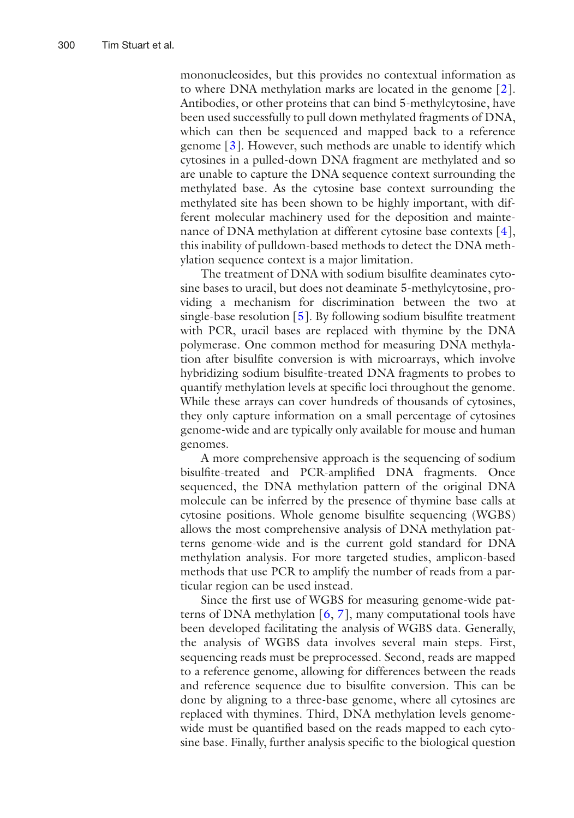mononucleosides, but this provides no contextual information as to where DNA methylation marks are located in the genome [ [2](#page-11-1)]. Antibodies, or other proteins that can bind 5-methylcytosine, have been used successfully to pull down methylated fragments of DNA, which can then be sequenced and mapped back to a reference genome [ [3\]](#page-11-2). However, such methods are unable to identify which cytosines in a pulled-down DNA fragment are methylated and so are unable to capture the DNA sequence context surrounding the methylated base. As the cytosine base context surrounding the methylated site has been shown to be highly important, with different molecular machinery used for the deposition and maintenance of DNA methylation at different cytosine base contexts [[4](#page-11-3)], this inability of pulldown-based methods to detect the DNA meth ylation sequence context is a major limitation.

The treatment of DNA with sodium bisulfite deaminates cytosine bases to uracil, but does not deaminate 5-methylcytosine, pro viding a mechanism for discrimination between the two at single-base resolution [ [5\]](#page-11-4). By following sodium bisulfite treatment with PCR, uracil bases are replaced with thymine by the DNA polymerase. One common method for measuring DNA methyla tion after bisulfite conversion is with microarrays, which involve hybridizing sodium bisulfite-treated DNA fragments to probes to quantify methylation levels at specific loci throughout the genome. While these arrays can cover hundreds of thousands of cytosines, they only capture information on a small percentage of cytosines genome-wide and are typically only available for mouse and human genomes.

A more comprehensive approach is the sequencing of sodium bisulfite-treated and PCR-amplified DNA fragments. Once sequenced, the DNA methylation pattern of the original DNA molecule can be inferred by the presence of thymine base calls at cytosine positions. Whole genome bisulfite sequencing (WGBS) allows the most comprehensive analysis of DNA methylation pat terns genome-wide and is the current gold standard for DNA methylation analysis. For more targeted studies, amplicon-based methods that use PCR to amplify the number of reads from a par ticular region can be used instead.

Since the first use of WGBS for measuring genome-wide pat terns of DNA methylation [ [6,](#page-11-5) [7\]](#page-11-6), many computational tools have been developed facilitating the analysis of WGBS data. Generally, the analysis of WGBS data involves several main steps. First, sequencing reads must be preprocessed. Second, reads are mapped to a reference genome, allowing for differences between the reads and reference sequence due to bisulfite conversion. This can be done by aligning to a three-base genome, where all cytosines are replaced with thymines. Third, DNA methylation levels genomewide must be quantified based on the reads mapped to each cytosine base. Finally, further analysis specific to the biological question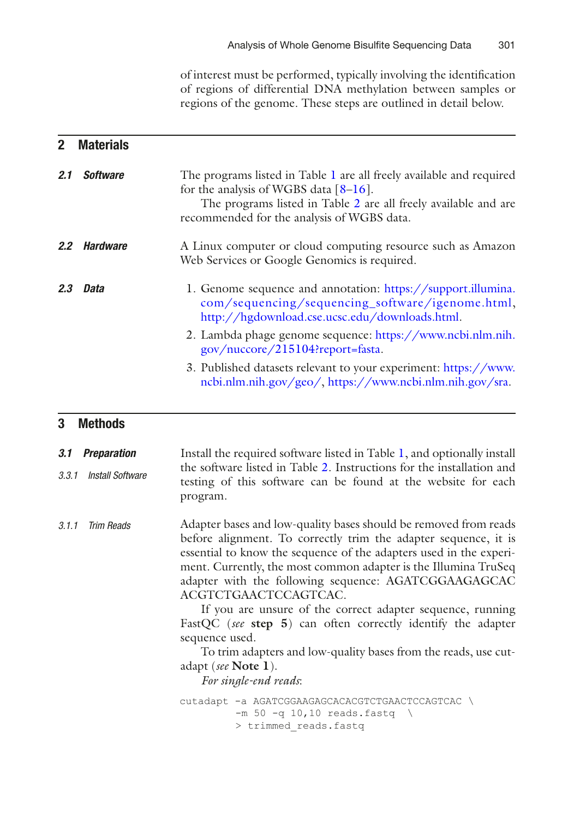of interest must be performed, typically involving the identification of regions of differential DNA methylation between samples or regions of the genome. These steps are outlined in detail below.

#### **2 Materials**

|     | 2.1 Software | The programs listed in Table 1 are all freely available and required<br>for the analysis of WGBS data $[8-16]$ .<br>The programs listed in Table 2 are all freely available and are<br>recommended for the analysis of WGBS data. |
|-----|--------------|-----------------------------------------------------------------------------------------------------------------------------------------------------------------------------------------------------------------------------------|
|     | 2.2 Hardware | A Linux computer or cloud computing resource such as Amazon<br>Web Services or Google Genomics is required.                                                                                                                       |
| 2.3 | Data         | 1. Genome sequence and annotation: https://support.illumina.<br>com/sequencing/sequencing_software/igenome.html,<br>http://hgdownload.cse.ucsc.edu/downloads.html.                                                                |
|     |              | 2. Lambda phage genome sequence: https://www.ncbi.nlm.nih.<br>gov/nuccore/215104?report=fasta.                                                                                                                                    |
|     |              | 3. Published datasets relevant to your experiment: https://www.<br>ncbi.nlm.nih.gov/geo/, https://www.ncbi.nlm.nih.gov/sra.                                                                                                       |

## **3 Methods**

| 3.1<br>3,3,1 | <b>Preparation</b><br><b>Install Software</b> | Install the required software listed in Table 1, and optionally install<br>the software listed in Table 2. Instructions for the installation and<br>testing of this software can be found at the website for each<br>program.                                                                                                                                                                                                                                                                                                                                                                                                                                                                                                                  |
|--------------|-----------------------------------------------|------------------------------------------------------------------------------------------------------------------------------------------------------------------------------------------------------------------------------------------------------------------------------------------------------------------------------------------------------------------------------------------------------------------------------------------------------------------------------------------------------------------------------------------------------------------------------------------------------------------------------------------------------------------------------------------------------------------------------------------------|
| 3.1.1        | <b>Trim Reads</b>                             | Adapter bases and low-quality bases should be removed from reads<br>before alignment. To correctly trim the adapter sequence, it is<br>essential to know the sequence of the adapters used in the experi-<br>ment. Currently, the most common adapter is the Illumina TruSeq<br>adapter with the following sequence: AGATCGGAAGAGCAC<br>ACGTCTGAACTCCAGTCAC.<br>If you are unsure of the correct adapter sequence, running<br>FastQC (see step 5) can often correctly identify the adapter<br>sequence used.<br>To trim adapters and low-quality bases from the reads, use cut-<br>adapt (see Note 1).<br>For single-end reads:<br>cutadapt -a AGATCGGAAGAGCACACGTCTGAACTCCAGTCAC<br>$-m$ 50 $-q$ 10,10 reads.fastq \<br>> trimmed reads.fastq |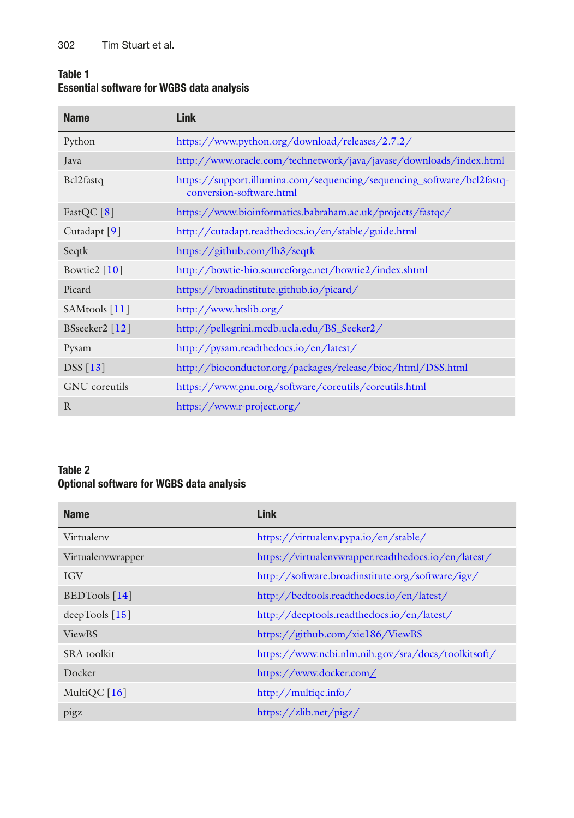### <span id="page-3-0"></span>**Table 1 Essential software for WGBS data analysis**

| <b>Name</b>                | Link                                                                                               |
|----------------------------|----------------------------------------------------------------------------------------------------|
| Python                     | https://www.python.org/download/releases/2.7.2/                                                    |
| Java                       | http://www.oracle.com/technetwork/java/javase/downloads/index.html                                 |
| Bcl2fastq                  | https://support.illumina.com/sequencing/sequencing_software/bcl2fastq-<br>conversion-software.html |
| FastQC $[8]$               | https://www.bioinformatics.babraham.ac.uk/projects/fastqc/                                         |
| Cutadapt <sup>[9]</sup>    | http://cutadapt.readthedocs.io/en/stable/guide.html                                                |
| Seqtk                      | https://github.com/lh3/seqtk                                                                       |
| Bowtie2 $\lceil 10 \rceil$ | http://bowtie-bio.sourceforge.net/bowtie2/index.shtml                                              |
| Picard                     | https://broadinstitute.github.io/picard/                                                           |
| SAMtools [11]              | http://www.htslib.org/                                                                             |
| BSseeker2 [12]             | http://pellegrini.mcdb.ucla.edu/BS_Seeker2/                                                        |
| Pysam                      | http://pysam.readthedocs.io/en/latest/                                                             |
| DSS [13]                   | http://bioconductor.org/packages/release/bioc/html/DSS.html                                        |
| <b>GNU</b> coreutils       | https://www.gnu.org/software/coreutils/coreutils.html                                              |
| R                          | https://www.r-project.org/                                                                         |

#### <span id="page-3-1"></span>**Table 2 Optional software for WGBS data analysis**

| <b>Name</b>       | Link                                                     |
|-------------------|----------------------------------------------------------|
| Virtualeny        | https://virtualenv.pypa.io/en/stable/                    |
| Virtualenvwrapper | https://virtualenvwrapper.readthedocs.io/en/latest/      |
| <b>IGV</b>        | http://software.broadinstitute.org/software/igv/         |
| BEDTools[14]      | http://bedtools.readthedocs.io/en/latest/                |
| deepTools [15]    | http://deeptools.readthedocs.io/en/latest/               |
| <b>ViewBS</b>     | https://github.com/xie186/ViewBS                         |
| SRA toolkit       | https://www.ncbi.nlm.nih.gov/sra/docs/toolkitsoft/       |
| Docker            | https://www.docker.com/                                  |
| MultiQC $[16]$    | http://multiqc.info/                                     |
| pigz              | $\frac{https://zlib.net/pigz/}{https://zlib.net/pigz/}}$ |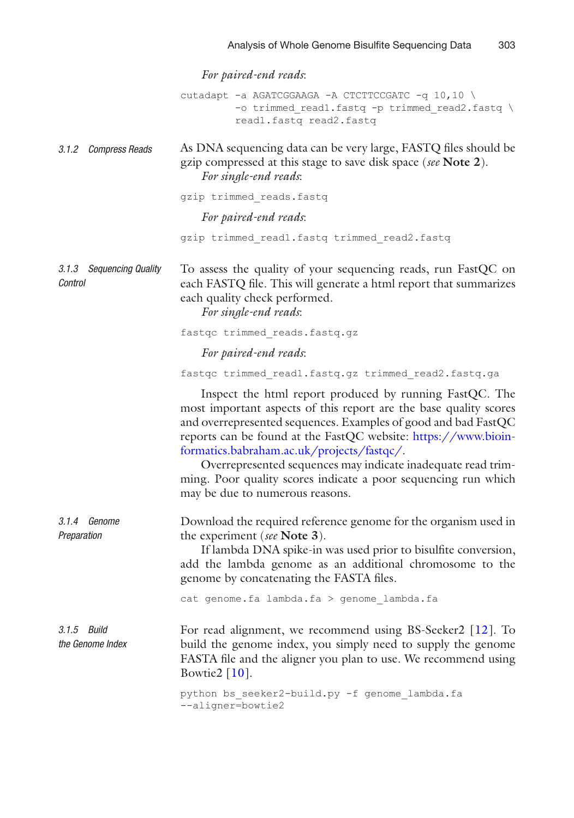*For paired-end reads*:

|  | cutadapt -a AGATCGGAAGA -A CTCTTCCGATC -q 10,10 \ |
|--|---------------------------------------------------|
|  | -o trimmed readl.fastg -p trimmed read2.fastg \   |
|  | readl.fastgread2.fastg                            |

As DNA sequencing data can be very large, FASTQ files should be gzip compressed at this stage to save disk space (*see* **Note 2**). *For single-end reads*: *3.1.2 Compress Reads*

```
gzip trimmed_reads.fastq
```
#### *For paired-end reads*:

gzip trimmed read1.fastq trimmed read2.fastq

To assess the quality of your sequencing reads, run FastQC on each FASTQ file. This will generate a html report that summarizes each quality check performed. *3.1.3 Sequencing Quality* 

*For single-end reads*:

*Control*

```
fastqc trimmed_reads.fastq.gz
```
*For paired-end reads*:

fastqc trimmed\_read1.fastq.gz trimmed\_read2.fastq.ga

Inspect the html report produced by running FastQC. The most important aspects of this report are the base quality scores and overrepresented sequences. Examples of good and bad FastQC reports can be found at the FastQC website: [https://www.bioin](https://www.bioinformatics.babraham.ac.uk/projects/fastqc)[formatics.babraham.ac.uk/projects/fastqc/.](https://www.bioinformatics.babraham.ac.uk/projects/fastqc)

Overrepresented sequences may indicate inadequate read trimming. Poor quality scores indicate a poor sequencing run which may be due to numerous reasons.

Download the required reference genome for the organism used in the experiment (*see* **Note 3**). *3.1.4 Genome Preparation*

> If lambda DNA spike-in was used prior to bisulfite conversion, add the lambda genome as an additional chromosome to the genome by concatenating the FASTA files.

```
cat genome.fa lambda.fa > genome lambda.fa
```
For read alignment, we recommend using BS-Seeker2 [[12\]](#page-11-12). To build the genome index, you simply need to supply the genome FASTA file and the aligner you plan to use. We recommend using Bowtie2 [\[10](#page-11-10)]. *3.1.5 Build the Genome Index*

```
python bs seeker2-build.py -f genome lambda.fa
--aligner=bowtie2
```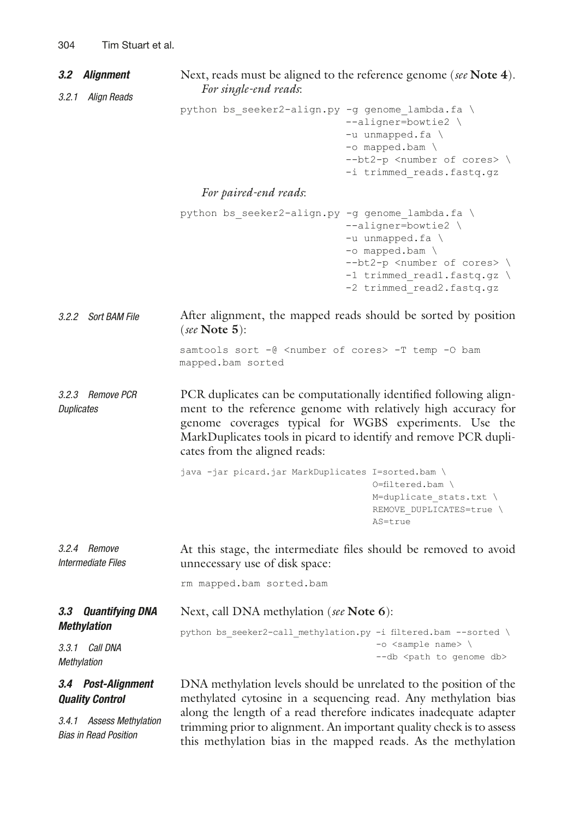|                                                                    | 3.2 Alignment<br>3.2.1 Align Reads       | Next, reads must be aligned to the reference genome (see Note 4).<br>For single-end reads:                                                                                                                                                                                                         |                                                                                                                                                                        |
|--------------------------------------------------------------------|------------------------------------------|----------------------------------------------------------------------------------------------------------------------------------------------------------------------------------------------------------------------------------------------------------------------------------------------------|------------------------------------------------------------------------------------------------------------------------------------------------------------------------|
|                                                                    |                                          | python bs seeker2-align.py -g genome lambda.fa \                                                                                                                                                                                                                                                   | --aligner=bowtie2 \<br>-u unmapped.fa \<br>-o mapped.bam \<br>--bt2-p <number cores="" of=""> \<br/>-i trimmed reads.fastq.gz</number>                                 |
|                                                                    |                                          | For paired-end reads:                                                                                                                                                                                                                                                                              |                                                                                                                                                                        |
|                                                                    |                                          | python bs seeker2-align.py -g genome lambda.fa \                                                                                                                                                                                                                                                   | --aligner=bowtie2 \<br>-u unmapped.fa \<br>-o mapped.bam \<br>--bt2-p <number cores="" of=""> \<br/>-1 trimmed read1.fastq.gz \<br/>-2 trimmed read2.fastq.gz</number> |
|                                                                    | 3.2.2 Sort BAM File                      | After alignment, the mapped reads should be sorted by position<br>(see Note $5$ ):                                                                                                                                                                                                                 |                                                                                                                                                                        |
|                                                                    |                                          | samtools sort -@ <number cores="" of=""> -T temp -O bam<br/>mapped.bam sorted</number>                                                                                                                                                                                                             |                                                                                                                                                                        |
| <b>Duplicates</b>                                                  | 3.2.3 Remove PCR                         | PCR duplicates can be computationally identified following align-<br>ment to the reference genome with relatively high accuracy for<br>genome coverages typical for WGBS experiments. Use the<br>MarkDuplicates tools in picard to identify and remove PCR dupli-<br>cates from the aligned reads: |                                                                                                                                                                        |
|                                                                    |                                          | java -jar picard.jar MarkDuplicates I=sorted.bam \                                                                                                                                                                                                                                                 | $O=filtered$ .bam \<br>M=duplicate stats.txt \<br>REMOVE DUPLICATES=true \<br>AS=true                                                                                  |
|                                                                    | 3.2.4 Remove<br>Intermediate Files       | At this stage, the intermediate files should be removed to avoid<br>unnecessary use of disk space:                                                                                                                                                                                                 |                                                                                                                                                                        |
|                                                                    |                                          | rm mapped.bam sorted.bam                                                                                                                                                                                                                                                                           |                                                                                                                                                                        |
| 3.3                                                                | Quantifying DNA                          | Next, call DNA methylation (see Note 6):                                                                                                                                                                                                                                                           |                                                                                                                                                                        |
| <b>Methylation</b><br>Call DNA<br>3.3.1<br>Methylation             |                                          | python bs seeker2-call methylation.py -i filtered.bam --sorted \                                                                                                                                                                                                                                   | $\sim$ <sample name=""> \<br/>--db <path db="" genome="" to=""></path></sample>                                                                                        |
| 3.4                                                                | Post-Alignment<br><b>Quality Control</b> | DNA methylation levels should be unrelated to the position of the<br>methylated cytosine in a sequencing read. Any methylation bias                                                                                                                                                                |                                                                                                                                                                        |
| <b>Assess Methylation</b><br>3.4.1<br><b>Bias in Read Position</b> |                                          | along the length of a read therefore indicates inadequate adapter<br>trimming prior to alignment. An important quality check is to assess<br>this methylation bias in the mapped reads. As the methylation                                                                                         |                                                                                                                                                                        |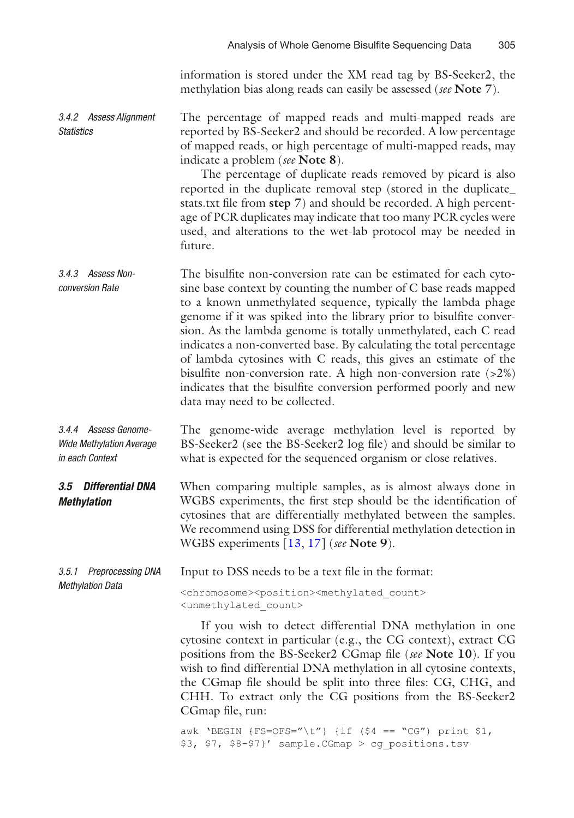information is stored under the XM read tag by BS-Seeker2, the methylation bias along reads can easily be assessed (*see* **Note 7**).

| 3.4.2 Assess Alignment<br><b>Statistics</b>                                | The percentage of mapped reads and multi-mapped reads are<br>reported by BS-Seeker2 and should be recorded. A low percentage<br>of mapped reads, or high percentage of multi-mapped reads, may<br>indicate a problem (see Note 8).<br>The percentage of duplicate reads removed by picard is also<br>reported in the duplicate removal step (stored in the duplicate_<br>stats.txt file from step 7) and should be recorded. A high percent-<br>age of PCR duplicates may indicate that too many PCR cycles were<br>used, and alterations to the wet-lab protocol may be needed in<br>future.                                                                       |
|----------------------------------------------------------------------------|---------------------------------------------------------------------------------------------------------------------------------------------------------------------------------------------------------------------------------------------------------------------------------------------------------------------------------------------------------------------------------------------------------------------------------------------------------------------------------------------------------------------------------------------------------------------------------------------------------------------------------------------------------------------|
| 3.4.3 Assess Non-<br>conversion Rate                                       | The bisulfite non-conversion rate can be estimated for each cyto-<br>sine base context by counting the number of C base reads mapped<br>to a known unmethylated sequence, typically the lambda phage<br>genome if it was spiked into the library prior to bisulfite conver-<br>sion. As the lambda genome is totally unmethylated, each C read<br>indicates a non-converted base. By calculating the total percentage<br>of lambda cytosines with C reads, this gives an estimate of the<br>bisulfite non-conversion rate. A high non-conversion rate $(>2%)$<br>indicates that the bisulfite conversion performed poorly and new<br>data may need to be collected. |
| 3.4.4 Assess Genome-<br><b>Wide Methylation Average</b><br>in each Context | The genome-wide average methylation level is reported by<br>BS-Seeker2 (see the BS-Seeker2 log file) and should be similar to<br>what is expected for the sequenced organism or close relatives.                                                                                                                                                                                                                                                                                                                                                                                                                                                                    |
| 3.5 Differential DNA<br><b>Methylation</b>                                 | When comparing multiple samples, as is almost always done in<br>WGBS experiments, the first step should be the identification of<br>cytosines that are differentially methylated between the samples.<br>We recommend using DSS for differential methylation detection in<br>WGBS experiments $[13, 17]$ (see Note 9).                                                                                                                                                                                                                                                                                                                                              |
| 3.5.1 Preprocessing DNA                                                    | Input to DSS needs to be a text file in the format:                                                                                                                                                                                                                                                                                                                                                                                                                                                                                                                                                                                                                 |
| <b>Methylation Data</b>                                                    | <chromosome><position><methylated count=""><br/><unmethylated count=""></unmethylated></methylated></position></chromosome>                                                                                                                                                                                                                                                                                                                                                                                                                                                                                                                                         |
|                                                                            | If you wish to detect differential DNA methylation in one<br>cytosine context in particular (e.g., the CG context), extract CG<br>positions from the BS-Seeker2 CGmap file (see Note 10). If you<br>wish to find differential DNA methylation in all cytosine contexts,<br>the CGmap file should be split into three files: CG, CHG, and<br>CHH. To extract only the CG positions from the BS-Seeker2<br>CGmap file, run:<br>awk 'BEGIN {FS=OFS="\t"} {if (\$4 == "CG") print \$1,                                                                                                                                                                                  |
|                                                                            | \$3, \$7, \$8-\$7}' sample.CGmap > cg_positions.tsv                                                                                                                                                                                                                                                                                                                                                                                                                                                                                                                                                                                                                 |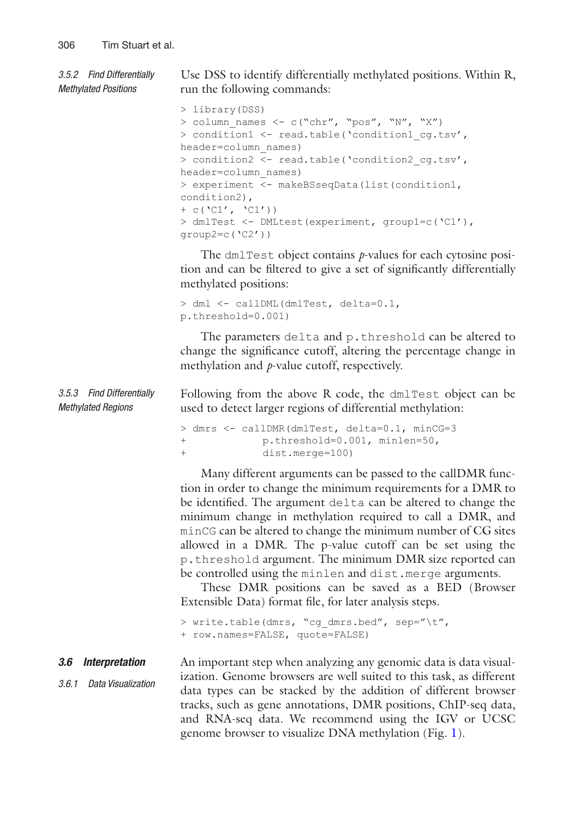| 3.5.2 Find Differentially<br><b>Methylated Positions</b>    | Use DSS to identify differentially methylated positions. Within R,<br>run the following commands:                                                                                                                                                                                                                                                                                                                                                                                                                                                                                                                                  |
|-------------------------------------------------------------|------------------------------------------------------------------------------------------------------------------------------------------------------------------------------------------------------------------------------------------------------------------------------------------------------------------------------------------------------------------------------------------------------------------------------------------------------------------------------------------------------------------------------------------------------------------------------------------------------------------------------------|
|                                                             | > library (DSS)<br>> column names <- c("chr", "pos", "N", "X")<br>> condition1 <- read.table('condition1_cg.tsv',<br>header=column names)<br>> condition2 <- read.table('condition2 cg.tsv',<br>header=column names)<br>> experiment <- makeBSseqData(list(condition1,<br>condition2),<br>+ $C('C1', 'C1'))$<br>> dmlTest <- DMLtest (experiment, group1=c ('C1'),<br>$group2=c('C2'))$                                                                                                                                                                                                                                            |
|                                                             | The dml Test object contains $p$ -values for each cytosine posi-<br>tion and can be filtered to give a set of significantly differentially<br>methylated positions:                                                                                                                                                                                                                                                                                                                                                                                                                                                                |
|                                                             | > dml <- callDML(dmlTest, delta=0.1,<br>p.threshold=0.001)                                                                                                                                                                                                                                                                                                                                                                                                                                                                                                                                                                         |
|                                                             | The parameters delta and p. threshold can be altered to<br>change the significance cutoff, altering the percentage change in<br>methylation and $p$ -value cutoff, respectively.                                                                                                                                                                                                                                                                                                                                                                                                                                                   |
| 3.5.3 Find Differentially<br><b>Methylated Regions</b>      | Following from the above R code, the dml Test object can be<br>used to detect larger regions of differential methylation:                                                                                                                                                                                                                                                                                                                                                                                                                                                                                                          |
|                                                             | > dmrs <- callDMR (dmlTest, delta=0.1, minCG=3<br>p.threshold=0.001, minlen=50,<br>$\! + \!\!\!\!$<br>$^{+}$<br>dist.merge=100)                                                                                                                                                                                                                                                                                                                                                                                                                                                                                                    |
|                                                             | Many different arguments can be passed to the callDMR func-<br>tion in order to change the minimum requirements for a DMR to<br>be identified. The argument delta can be altered to change the<br>minimum change in methylation required to call a DMR, and<br>minCG can be altered to change the minimum number of CG sites<br>allowed in a DMR. The p-value cutoff can be set using the<br>p.threshold argument. The minimum DMR size reported can<br>be controlled using the minlen and dist. merge arguments.<br>These DMR positions can be saved as a BED (Browser<br>Extensible Data) format file, for later analysis steps. |
|                                                             | > write.table(dmrs, "cg dmrs.bed", sep="\t",<br>+ row.names=FALSE, quote=FALSE)                                                                                                                                                                                                                                                                                                                                                                                                                                                                                                                                                    |
| <b>Interpretation</b><br>3.6<br>Data Visualization<br>3.6.1 | An important step when analyzing any genomic data is data visual-<br>ization. Genome browsers are well suited to this task, as different<br>data types can be stacked by the addition of different browser<br>tracks, such as gene annotations, DMR positions, ChIP-seq data,<br>and RNA-seq data. We recommend using the IGV or UCSC<br>genome browser to visualize DNA methylation (Fig. 1).                                                                                                                                                                                                                                     |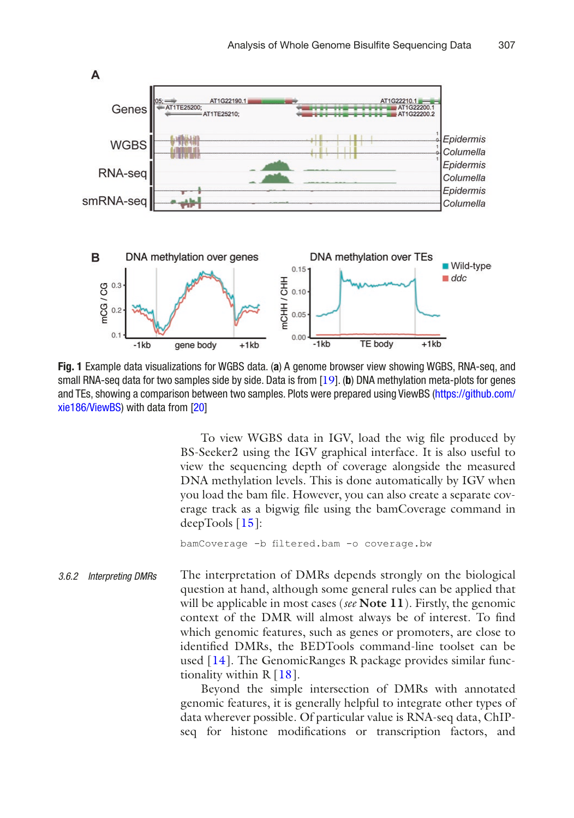<span id="page-8-0"></span>

**Fig. 1** Example data visualizations for WGBS data. (**a**) A genome browser view showing WGBS, RNA-seq, and small RNA-seq data for two samples side by side. Data is from [[19](#page-11-17)]. (**b**) DNA methylation meta-plots for genes and TEs, showing a comparison between two samples. Plots were prepared using ViewBS ([https://github.com/](https://github.com/xie186/ViewBS) [xie186/ViewBS\)](https://github.com/xie186/ViewBS) with data from [\[20\]](#page-11-18)

To view WGBS data in IGV, load the wig file produced by BS-Seeker2 using the IGV graphical interface. It is also useful to view the sequencing depth of coverage alongside the measured DNA methylation levels. This is done automatically by IGV when you load the bam file. However, you can also create a separate coverage track as a bigwig file using the bamCoverage command in deepTools [[15\]](#page-11-15):

bamCoverage -b filtered.bam -o coverage.bw

The interpretation of DMRs depends strongly on the biological question at hand, although some general rules can be applied that will be applicable in most cases (*see* **Note 11**). Firstly, the genomic context of the DMR will almost always be of interest. To find which genomic features, such as genes or promoters, are close to identified DMRs, the BEDTools command-line toolset can be used [[14\]](#page-11-14). The GenomicRanges R package provides similar functionality within  $R \mid 18$ . *3.6.2 Interpreting DMRs*

> Beyond the simple intersection of DMRs with annotated genomic features, it is generally helpful to integrate other types of data wherever possible. Of particular value is RNA-seq data, ChIPseq for histone modifications or transcription factors, and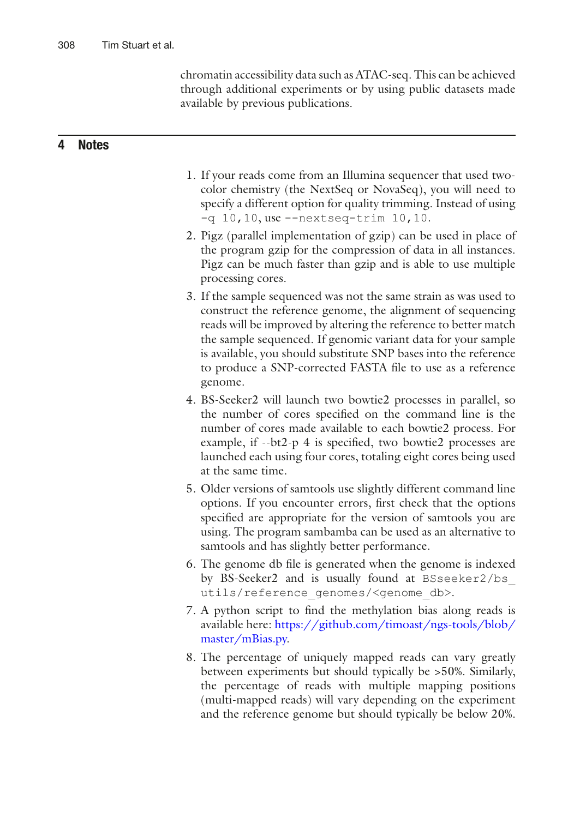chromatin accessibility data such as ATAC-seq. This can be achieved through additional experiments or by using public datasets made available by previous publications.

#### **4 Notes**

- 1. If your reads come from an Illumina sequencer that used twocolor chemistry (the NextSeq or NovaSeq), you will need to specify a different option for quality trimming. Instead of using -q 10,10, use --nextseq-trim 10,10.
- 2. Pigz (parallel implementation of gzip) can be used in place of the program gzip for the compression of data in all instances. Pigz can be much faster than gzip and is able to use multiple processing cores.
- 3. If the sample sequenced was not the same strain as was used to construct the reference genome, the alignment of sequencing reads will be improved by altering the reference to better match the sample sequenced. If genomic variant data for your sample is available, you should substitute SNP bases into the reference to produce a SNP-corrected FASTA file to use as a reference genome.
- 4. BS-Seeker2 will launch two bowtie2 processes in parallel, so the number of cores specified on the command line is the number of cores made available to each bowtie2 process. For example, if --bt2-p 4 is specified, two bowtie2 processes are launched each using four cores, totaling eight cores being used at the same time.
- 5. Older versions of samtools use slightly different command line options. If you encounter errors, first check that the options specified are appropriate for the version of samtools you are using. The program sambamba can be used as an alternative to samtools and has slightly better performance.
- 6. The genome db file is generated when the genome is indexed by BS-Seeker2 and is usually found at BSseeker2/bs\_ utils/reference genomes/<genome db>.
- 7. A python script to find the methylation bias along reads is available here: [https://github.com/timoast/ngs-tools/blob/](https://github.com/timoast/ngs-tools/blob/master/mBias.py) [master/mBias.py.](https://github.com/timoast/ngs-tools/blob/master/mBias.py)
- 8. The percentage of uniquely mapped reads can vary greatly between experiments but should typically be >50%. Similarly, the percentage of reads with multiple mapping positions (multi-mapped reads) will vary depending on the experiment and the reference genome but should typically be below 20%.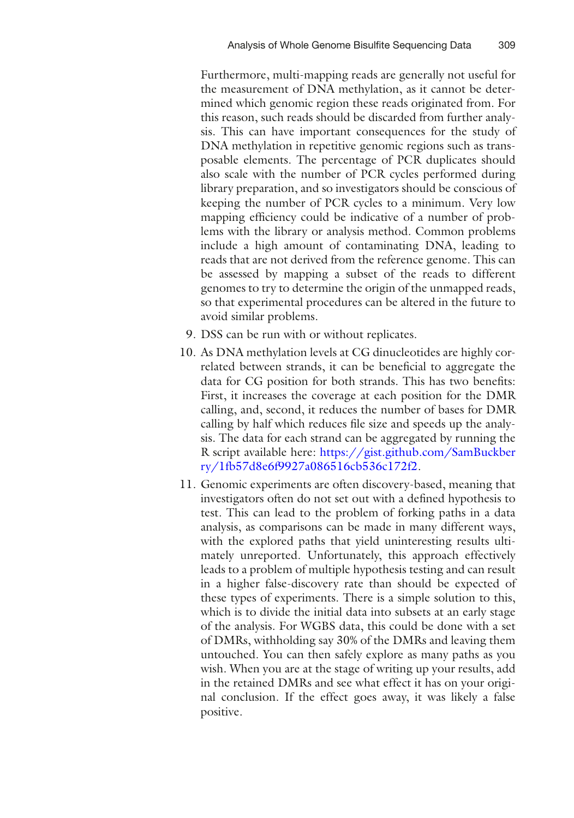Furthermore, multi-mapping reads are generally not useful for the measurement of DNA methylation, as it cannot be determined which genomic region these reads originated from. For this reason, such reads should be discarded from further analysis. This can have important consequences for the study of DNA methylation in repetitive genomic regions such as transposable elements. The percentage of PCR duplicates should also scale with the number of PCR cycles performed during library preparation, and so investigators should be conscious of keeping the number of PCR cycles to a minimum. Very low mapping efficiency could be indicative of a number of problems with the library or analysis method. Common problems include a high amount of contaminating DNA, leading to reads that are not derived from the reference genome. This can be assessed by mapping a subset of the reads to different genomes to try to determine the origin of the unmapped reads, so that experimental procedures can be altered in the future to avoid similar problems.

- 9. DSS can be run with or without replicates.
- 10. As DNA methylation levels at CG dinucleotides are highly correlated between strands, it can be beneficial to aggregate the data for CG position for both strands. This has two benefits: First, it increases the coverage at each position for the DMR calling, and, second, it reduces the number of bases for DMR calling by half which reduces file size and speeds up the analysis. The data for each strand can be aggregated by running the R script available here: [https://gist.github.com/SamBuckber](https://gist.github.com/SamBuckberry/1fb57d8e6f9927a086516cb536c172f2) [ry/1fb57d8e6f9927a086516cb536c172f2.](https://gist.github.com/SamBuckberry/1fb57d8e6f9927a086516cb536c172f2)
- 11. Genomic experiments are often discovery-based, meaning that investigators often do not set out with a defined hypothesis to test. This can lead to the problem of forking paths in a data analysis, as comparisons can be made in many different ways, with the explored paths that yield uninteresting results ultimately unreported. Unfortunately, this approach effectively leads to a problem of multiple hypothesis testing and can result in a higher false-discovery rate than should be expected of these types of experiments. There is a simple solution to this, which is to divide the initial data into subsets at an early stage of the analysis. For WGBS data, this could be done with a set of DMRs, withholding say 30% of the DMRs and leaving them untouched. You can then safely explore as many paths as you wish. When you are at the stage of writing up your results, add in the retained DMRs and see what effect it has on your original conclusion. If the effect goes away, it was likely a false positive.